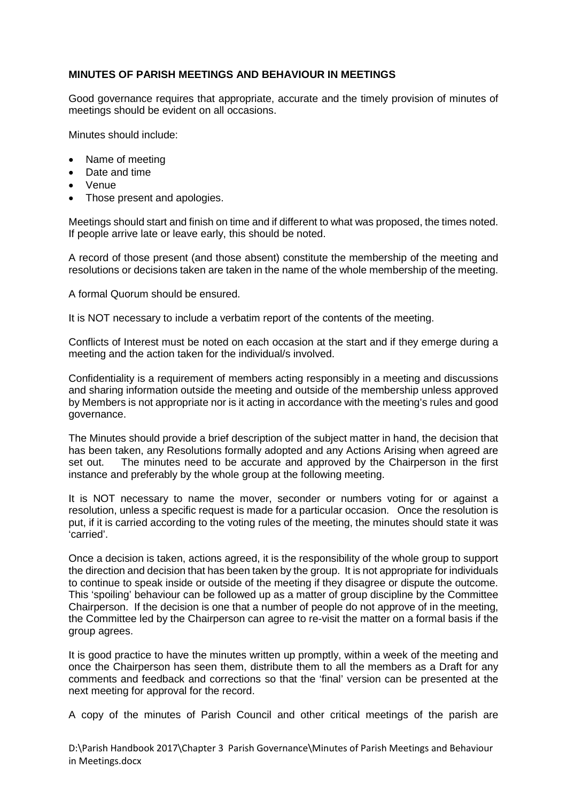## **MINUTES OF PARISH MEETINGS AND BEHAVIOUR IN MEETINGS**

Good governance requires that appropriate, accurate and the timely provision of minutes of meetings should be evident on all occasions.

Minutes should include:

- Name of meeting
- Date and time
- Venue
- Those present and apologies.

Meetings should start and finish on time and if different to what was proposed, the times noted. If people arrive late or leave early, this should be noted.

A record of those present (and those absent) constitute the membership of the meeting and resolutions or decisions taken are taken in the name of the whole membership of the meeting.

A formal Quorum should be ensured.

It is NOT necessary to include a verbatim report of the contents of the meeting.

Conflicts of Interest must be noted on each occasion at the start and if they emerge during a meeting and the action taken for the individual/s involved.

Confidentiality is a requirement of members acting responsibly in a meeting and discussions and sharing information outside the meeting and outside of the membership unless approved by Members is not appropriate nor is it acting in accordance with the meeting's rules and good governance.

The Minutes should provide a brief description of the subject matter in hand, the decision that has been taken, any Resolutions formally adopted and any Actions Arising when agreed are set out. The minutes need to be accurate and approved by the Chairperson in the first instance and preferably by the whole group at the following meeting.

It is NOT necessary to name the mover, seconder or numbers voting for or against a resolution, unless a specific request is made for a particular occasion. Once the resolution is put, if it is carried according to the voting rules of the meeting, the minutes should state it was 'carried'.

Once a decision is taken, actions agreed, it is the responsibility of the whole group to support the direction and decision that has been taken by the group. It is not appropriate for individuals to continue to speak inside or outside of the meeting if they disagree or dispute the outcome. This 'spoiling' behaviour can be followed up as a matter of group discipline by the Committee Chairperson. If the decision is one that a number of people do not approve of in the meeting, the Committee led by the Chairperson can agree to re-visit the matter on a formal basis if the group agrees.

It is good practice to have the minutes written up promptly, within a week of the meeting and once the Chairperson has seen them, distribute them to all the members as a Draft for any comments and feedback and corrections so that the 'final' version can be presented at the next meeting for approval for the record.

A copy of the minutes of Parish Council and other critical meetings of the parish are